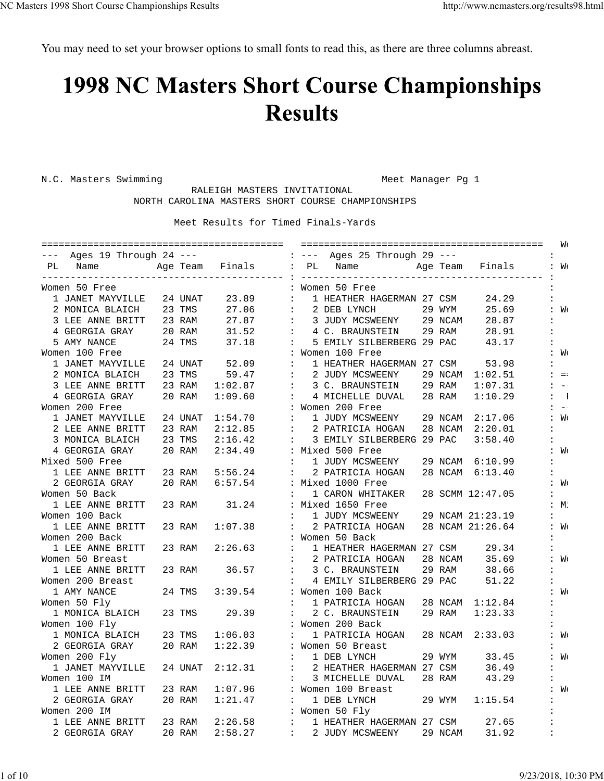You may need to set your browser options to small fonts to read this, as there are three columns abreast.

## **1998 NC Masters Short Course Championships Results**

N.C. Masters Swimming and Meet Manager Pg 1

 RALEIGH MASTERS INVITATIONAL NORTH CAROLINA MASTERS SHORT COURSE CHAMPIONSHIPS

| --- Ages 19 Through 24 --- |         |                      |                             | : --- Ages 25 Through 29 ---                                                              |
|----------------------------|---------|----------------------|-----------------------------|-------------------------------------------------------------------------------------------|
| PL<br>Name                 |         | Age Team Finals : PL |                             | Finals<br>Name<br>Age Team<br>: W <sub>0</sub>                                            |
| Women 50 Free              |         |                      |                             | -----<br>: Women 50 Free                                                                  |
| 1 JANET MAYVILLE           | 24 UNAT | 23.89                | $\ddot{\cdot}$              | 1 HEATHER HAGERMAN 27 CSM<br>24.29                                                        |
| 2 MONICA BLAICH            | 23 TMS  | 27.06                | $\ddot{\phantom{a}}$        | 29 WYM<br>25.69<br>2 DEB LYNCH<br>∶ Wo                                                    |
| 3 LEE ANNE BRITT           | 23 RAM  | 27.87                | $\ddot{\phantom{a}}$        | 3 JUDY MCSWEENY<br>29 NCAM<br>28.87                                                       |
| 4 GEORGIA GRAY             | 20 RAM  | 31.52                | $\ddot{\phantom{a}}$        | 4 C. BRAUNSTEIN<br>29 RAM<br>28.91<br>$\ddot{\phantom{a}}$                                |
| 5 AMY NANCE                | 24 TMS  | 37.18                | $\ddot{\phantom{a}}$        | 5 EMILY SILBERBERG 29 PAC<br>43.17                                                        |
| Women 100 Free             |         |                      |                             | : Women 100 Free<br>: Mo                                                                  |
| 1 JANET MAYVILLE           | 24 UNAT | 52.09                | $\mathbf{L}$                | 1 HEATHER HAGERMAN 27 CSM<br>53.98                                                        |
| 2 MONICA BLAICH            | 23 TMS  | 59.47                | $\cdot$ :                   | 2 JUDY MCSWEENY<br>29 NCAM<br>1:02.51<br>$: = :$                                          |
| 3 LEE ANNE BRITT           | 23 RAM  | 1:02.87              | $\mathbb{R}^n$              | 29 RAM<br>3 C. BRAUNSTEIN<br>1:07.31<br>$\overline{\phantom{a}}$ $\overline{\phantom{a}}$ |
| 4 GEORGIA GRAY             | 20 RAM  | 1:09.60              | $\ddot{\phantom{a}}$        | 4 MICHELLE DUVAL<br>28 RAM<br>1:10.29<br>$\blacksquare$                                   |
| Women 200 Free             |         |                      |                             | : Women 200 Free<br>$: - -$                                                               |
| 1 JANET MAYVILLE           | 24 UNAT | 1:54.70              | $\ddot{\phantom{a}}$        | 1 JUDY MCSWEENY<br>29 NCAM<br>2:17.06<br>: Wo                                             |
| 2 LEE ANNE BRITT           | 23 RAM  | 2:12.85              | $\ddot{\phantom{a}}$        | 2 PATRICIA HOGAN<br>28 NCAM<br>2:20.01<br>$\ddot{\phantom{a}}$                            |
| 3 MONICA BLAICH            | 23 TMS  | 2:16.42              |                             | 3 EMILY SILBERBERG 29 PAC<br>3:58.40                                                      |
| 4 GEORGIA GRAY             | 20 RAM  | 2:34.49              |                             | : Mixed 500 Free<br>: W <sub>C</sub>                                                      |
| Mixed 500 Free             |         |                      | $\ddot{\phantom{a}}$        | 1 JUDY MCSWEENY<br>29 NCAM<br>6:10.99                                                     |
| 1 LEE ANNE BRITT           | 23 RAM  | 5:56.24              |                             | 2 PATRICIA HOGAN<br>28 NCAM<br>6:13.40                                                    |
| 2 GEORGIA GRAY             | 20 RAM  | 6:57.54              |                             | : Mixed 1000 Free<br>: W <sub>C</sub>                                                     |
| Women 50 Back              |         |                      | $\ddot{\phantom{a}}$        | 1 CARON WHITAKER<br>28 SCMM 12:47.05                                                      |
| 1 LEE ANNE BRITT           | 23 RAM  | 31.24                |                             | : Mixed 1650 Free<br>:M:                                                                  |
| Women 100 Back             |         |                      |                             | 29 NCAM 21:23.19<br>1 JUDY MCSWEENY                                                       |
| 1 LEE ANNE BRITT           | 23 RAM  | 1:07.38              | $\ddot{\phantom{a}}$        | 28 NCAM 21:26.64<br>2 PATRICIA HOGAN<br>: W <sub>C</sub>                                  |
| Women 200 Back             |         |                      |                             | : Women 50 Back                                                                           |
| 1 LEE ANNE BRITT           | 23 RAM  | 2:26.63              | $\ddot{\phantom{a}}$        | 1 HEATHER HAGERMAN 27 CSM<br>29.34                                                        |
| Women 50 Breast            |         |                      | $\ddot{\phantom{a}}$        | 2 PATRICIA HOGAN<br>28 NCAM<br>35.69<br>: W <sub>C</sub>                                  |
| 1 LEE ANNE BRITT           | 23 RAM  | 36.57                | $\ddot{\phantom{a}}$        | 29 RAM<br>3 C. BRAUNSTEIN<br>38.66                                                        |
| Women 200 Breast           |         |                      | $\ddot{\cdot}$              | 4 EMILY SILBERBERG 29 PAC<br>51.22                                                        |
| 1 AMY NANCE                | 24 TMS  | 3:39.54              |                             | : Women 100 Back<br>: Mo                                                                  |
| Women 50 Fly               |         |                      |                             | 1 PATRICIA HOGAN<br>28 NCAM<br>1:12.84                                                    |
| 1 MONICA BLAICH            | 23 TMS  | 29.39                | $\ddot{\cdot}$              | 2 C. BRAUNSTEIN<br>29 RAM<br>1:23.33                                                      |
| Women 100 Fly              |         |                      |                             | : Women 200 Back                                                                          |
| 1 MONICA BLAICH            | 23 TMS  | 1:06.03              | $\ddot{\cdot}$              | 1 PATRICIA HOGAN<br>28 NCAM<br>2:33.03<br>: W <sub>C</sub>                                |
| 2 GEORGIA GRAY             | 20 RAM  | 1:22.39              |                             | : Women 50 Breast                                                                         |
| Women 200 Fly              |         |                      | $\ddot{\phantom{a}}$        | 1 DEB LYNCH<br>29 WYM<br>33.45<br>: Wo                                                    |
| 1 JANET MAYVILLE           | 24 UNAT | 2:12.31              | $\ddot{\phantom{a}}$        | 2 HEATHER HAGERMAN 27 CSM<br>36.49<br>$\ddot{\phantom{a}}$                                |
| Women 100 IM               |         |                      | $\ddot{\phantom{a}}$        | 28 RAM<br>3 MICHELLE DUVAL<br>43.29                                                       |
| 1 LEE ANNE BRITT           | 23 RAM  | 1:07.96              |                             | : Women 100 Breast<br>: Mo                                                                |
| 2 GEORGIA GRAY             | 20 RAM  | 1:21.47              | $\ddot{\phantom{a}}$        | 1 DEB LYNCH<br>29 WYM<br>1:15.54                                                          |
| Women 200 IM               |         |                      |                             | : Women 50 Fly                                                                            |
| 1 LEE ANNE BRITT           | 23 RAM  | 2:26.58              | $\mathbf{L}$                | 1 HEATHER HAGERMAN 27 CSM<br>27.65                                                        |
| 2 GEORGIA GRAY             | 20 RAM  | 2:58.27              | $\mathbf{1}$ , $\mathbf{1}$ | 2 JUDY MCSWEENY<br>29 NCAM<br>31.92<br>$\ddot{\phantom{a}}$                               |
|                            |         |                      |                             |                                                                                           |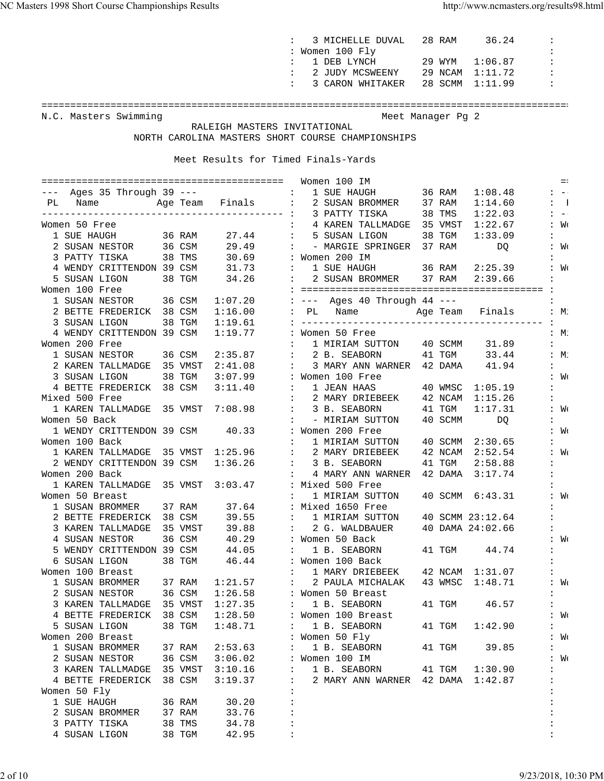|                                                  |                                     | 3 MICHELLE DUVAL 28 RAM 36.24                                                                                                                            |        |                   |                                                                |
|--------------------------------------------------|-------------------------------------|----------------------------------------------------------------------------------------------------------------------------------------------------------|--------|-------------------|----------------------------------------------------------------|
|                                                  |                                     | : Women 100 Fly                                                                                                                                          |        |                   |                                                                |
|                                                  |                                     | 1 DEB LYNCH 29 WYM $1:06.87$<br>$\mathbf{1}$                                                                                                             |        |                   | $\sim$ 1                                                       |
|                                                  |                                     | : 2 JUDY MCSWEENY 29 NCAM 1:11.72                                                                                                                        |        |                   |                                                                |
|                                                  |                                     | : 3 CARON WHITAKER                                                                                                                                       |        | 28 SCMM 1:11.99 : |                                                                |
|                                                  |                                     |                                                                                                                                                          |        |                   |                                                                |
| N.C. Masters Swimming                            |                                     | Meet Manager Pg 2                                                                                                                                        |        |                   |                                                                |
|                                                  | RALEIGH MASTERS INVITATIONAL        |                                                                                                                                                          |        |                   |                                                                |
|                                                  |                                     | NORTH CAROLINA MASTERS SHORT COURSE CHAMPIONSHIPS                                                                                                        |        |                   |                                                                |
|                                                  |                                     |                                                                                                                                                          |        |                   |                                                                |
|                                                  | Meet Results for Timed Finals-Yards |                                                                                                                                                          |        |                   |                                                                |
|                                                  |                                     |                                                                                                                                                          |        |                   |                                                                |
|                                                  |                                     | 1 SUE HAUGH 36 RAM 1:08.48                                                                                                                               |        |                   | $=$<br>$1 - 1 - 1 = 0$                                         |
| PL Name Mage Team Finals :                       |                                     | 2 SUSAN BROMMER 37 RAM 1:14.60                                                                                                                           |        |                   | $\sim$ $\sim$ $\sim$ $\sim$ $\sim$ $\sim$                      |
|                                                  |                                     |                                                                                                                                                          |        | 1:22.03           | $\mathcal{L}^{\text{max}}(\mathcal{L}^{\text{max}})$ . The set |
| Women 50 Free                                    |                                     | 4 KAREN TALLMADGE 35 VMST 1:22.67 : Wo<br>$\mathbf{1}$                                                                                                   |        |                   |                                                                |
| 1 SUE HAUGH<br>36 RAM                            |                                     | 27.44 : 5 SUSAN LIGON 38 TGM 1:33.09                                                                                                                     |        |                   |                                                                |
| 2 SUSAN NESTOR 36 CSM                            |                                     |                                                                                                                                                          |        |                   |                                                                |
| 3 PATTY TISKA 38 TMS                             |                                     |                                                                                                                                                          |        |                   |                                                                |
| 4 WENDY CRITTENDON 39 CSM                        |                                     | 29.49 : - MARGIE SPRINGER 37 RAM DQ : W(<br>30.69 : Women 200 IM :<br>31.73 : 1 SUE HAUGH 36 RAM 2:25.39 : W(                                            |        |                   |                                                                |
| 38 TGM<br>5 SUSAN LIGON                          |                                     | 34.26 : 2 SUSAN BROMMER 37 RAM 2:39.66                                                                                                                   |        |                   | <b>Contractor</b>                                              |
| Women 100 Free                                   |                                     |                                                                                                                                                          |        |                   |                                                                |
| 1 SUSAN NESTOR 36 CSM                            |                                     | 1:07.20 : --- Ages 40 Through 44 ---                                                                                                                     |        |                   |                                                                |
| 2 BETTE FREDERICK 38 CSM                         |                                     | $1:16.00$ : PL Name $\overline{A}$ Age Team Finals : M.                                                                                                  |        |                   |                                                                |
| 3 SUSAN LIGON                                    | 38 TGM<br>1:19.61                   |                                                                                                                                                          |        |                   |                                                                |
| 4 WENDY CRITTENDON 39 CSM                        |                                     | $1:19.77$ : Women 50 Free                                                                                                                                |        |                   | :M                                                             |
| Women 200 Free                                   |                                     | : 1 MIRIAM SUTTON 40 SCMM 31.89                                                                                                                          |        |                   | $\mathbf{L}$                                                   |
| 1 SUSAN NESTOR 36 CSM                            |                                     | 2:35.87 : 2 B. SEABORN 41 TGM 33.44 : M.                                                                                                                 |        |                   |                                                                |
| 2 KAREN TALLMADGE 35 VMST                        |                                     | 2:41.08 : 3 MARY ANN WARNER 42 DAMA 41.94                                                                                                                |        |                   | $\mathbf{1}$                                                   |
| 3 SUSAN LIGON                                    | 38 TGM<br>3:07.99 : Women 100 Free  |                                                                                                                                                          |        |                   | ∶ Wo                                                           |
| 4 BETTE FREDERICK 38 CSM 3:11.40                 |                                     | : 1 JEAN HAAS 40 WMSC 1:05.19<br>: 2 MARY DRIEBEEK 42 NCAM 1:15.26                                                                                       |        |                   | $\mathbf{1}$<br>$\mathcal{I}^{\mathcal{I}}$ .                  |
| Mixed 500 Free                                   |                                     | 1 KAREN TALLMADGE 35 VMST 7:08.98 : 3 B. SEABORN 41 TGM 1:17.31                                                                                          |        |                   | : W <sub>C</sub>                                               |
| Women 50 Back                                    |                                     | : - MIRIAM SUTTON 40 SCMM                                                                                                                                |        | DQ                | $\mathbf{L}$                                                   |
| 1 WENDY CRITTENDON 39 CSM 40.33 : Women 200 Free |                                     |                                                                                                                                                          |        |                   | ∶ Wo                                                           |
| Women 100 Back                                   |                                     |                                                                                                                                                          |        |                   | $\mathbf{L}$                                                   |
|                                                  |                                     | 9 men 100 Back<br>1 KAREN TALLMADGE 35 VMST 1:25.96 : 2 MARY DRIEBEEK 42 NCAM 2:52.54<br>2 WENDY CRITTENDON 39 CSM 1:36.26 : 3 B. SEABORN 41 TGM 2:58.88 |        |                   | $\colon W_0$                                                   |
|                                                  |                                     |                                                                                                                                                          |        |                   | $\mathbf{L}$                                                   |
| Women 200 Back                                   |                                     | $\colon$ 4 MARY ANN WARNER 42 DAMA $3:17.74$                                                                                                             |        |                   |                                                                |
| 1 KAREN TALLMADGE 35 VMST 3:03.47                |                                     | : Mixed 500 Free                                                                                                                                         |        |                   | $\ddot{\phantom{0}}$                                           |
| Women 50 Breast                                  |                                     | 1 MIRIAM SUTTON 40 SCMM 6:43.31                                                                                                                          |        |                   | : W <sub>C</sub>                                               |
| 1 SUSAN BROMMER 37 RAM 37.64                     |                                     | : Mixed 1650 Free                                                                                                                                        |        |                   | $\mathbf{L}$                                                   |
| 2 BETTE FREDERICK 38 CSM                         | 39.55<br><b>Contractor</b>          | 1 MIRIAM SUTTON 40 SCMM 23:12.64                                                                                                                         |        |                   | $\mathbf{L}$                                                   |
| 3 KAREN TALLMADGE 35 VMST                        | 39.88                               | 2 G. WALDBAUER<br>$\sim 100$ km s $^{-1}$                                                                                                                |        | 40 DAMA 24:02.66  |                                                                |
| 4 SUSAN NESTOR                                   | 36 CSM<br>40.29                     | : Women 50 Back                                                                                                                                          |        |                   | : W <sub>C</sub>                                               |
| 5 WENDY CRITTENDON 39 CSM                        | 44.05                               | 1 B. SEABORN<br>$\mathbf{1}$                                                                                                                             |        | 41 TGM 44.74      | $\ddot{\phantom{a}}$                                           |
| 6 SUSAN LIGON                                    | 38 TGM<br>46.44                     | : Women 100 Back                                                                                                                                         |        |                   | $\mathbf{L}$                                                   |
| Women 100 Breast<br>1 SUSAN BROMMER              | 37 RAM<br>1:21.57                   | : 1 MARY DRIEBEEK 42 NCAM 1:31.07<br>: 2 PAULA MICHALAK 43 WMSC 1:48.71<br>$\sim 1000$ km s $^{-1}$                                                      |        |                   | $\mathbf{I}$<br>$\colon W$                                     |
| 2 SUSAN NESTOR 36 CSM                            | 1:26.58                             | : Women 50 Breast                                                                                                                                        |        |                   | $\mathbf{I}$                                                   |
| 3 KAREN TALLMADGE 35 VMST                        | 1:27.35                             | $\sim$ $\sim$<br>1 B. SEABORN                                                                                                                            | 41 TGM | 46.57             | $\mathbb{E}[\mathcal{E}^{\text{max}}]$                         |
| 4 BETTE FREDERICK 38 CSM                         | 1:28.50                             | : Women 100 Breast                                                                                                                                       |        |                   | : W <sub>C</sub>                                               |
| 5 SUSAN LIGON                                    | 38 TGM<br>1:48.71                   | 1 B. SEABORN<br>$\mathbf{1}$                                                                                                                             | 41 TGM | 1:42.90           | $\mathbf{1}$                                                   |
| Women 200 Breast                                 |                                     | : Women 50 Fly                                                                                                                                           |        |                   | : W <sub>C</sub>                                               |
| 1 SUSAN BROMMER                                  | 37 RAM<br>2:53.63                   | 1 B. SEABORN<br>$\mathbf{1}$ , $\mathbf{1}$                                                                                                              | 41 TGM | 39.85             | $\mathbf{1}$ , $\mathbf{1}$                                    |
| 2 SUSAN NESTOR                                   | 3:06.02<br>36 CSM                   | : Women 100 IM                                                                                                                                           |        |                   | : W <sub>C</sub>                                               |
| 3 KAREN TALLMADGE 35 VMST                        | $3:10.16$ :                         | 1 B. SEABORN 41 TGM 1:30.90                                                                                                                              |        |                   | $\mathbb{C}^{\mathbb{Z}}$                                      |
| 4 BETTE FREDERICK 38 CSM                         | 3:19.37                             | $\sim 100$<br>2 MARY ANN WARNER 42 DAMA 1:42.87                                                                                                          |        |                   | $\ddot{\phantom{a}}$                                           |
| Women 50 Fly                                     | $\ddot{\phantom{a}}$                |                                                                                                                                                          |        |                   |                                                                |
| 1 SUE HAUGH                                      | $\ddot{\cdot}$<br>36 RAM<br>30.20   |                                                                                                                                                          |        |                   |                                                                |
| 2 SUSAN BROMMER 37 RAM                           | $\ddot{\cdot}$<br>33.76             |                                                                                                                                                          |        |                   | $\ddot{\cdot}$                                                 |
| 3 PATTY TISKA 38 TMS                             | 34.78                               |                                                                                                                                                          |        |                   |                                                                |
| 4 SUSAN LIGON 38 TGM                             | 42.95                               |                                                                                                                                                          |        |                   |                                                                |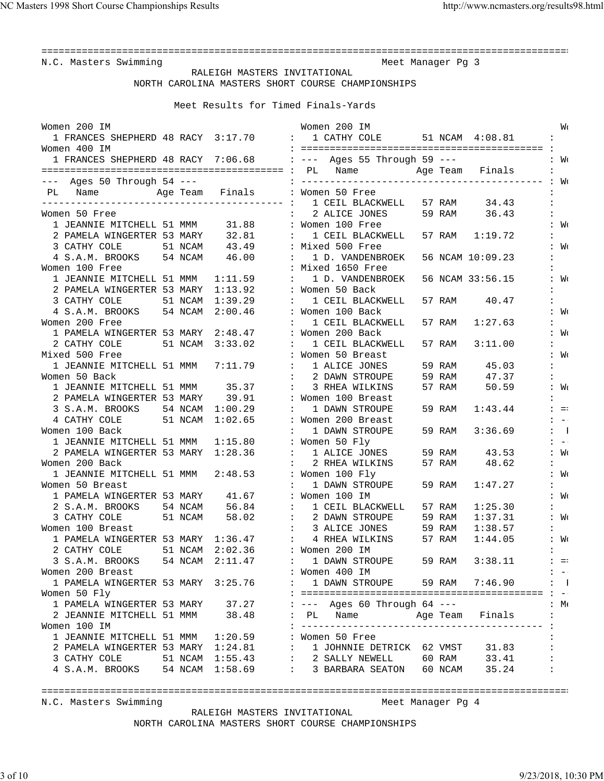N.C. Masters Swimming and Meet Manager Pg 3

 RALEIGH MASTERS INVITATIONAL NORTH CAROLINA MASTERS SHORT COURSE CHAMPIONSHIPS

Meet Results for Timed Finals-Yards

| Women 200 IM                                        |         |                         | Women 200 IM                                                       | W٢                                           |
|-----------------------------------------------------|---------|-------------------------|--------------------------------------------------------------------|----------------------------------------------|
|                                                     |         |                         | 1 FRANCES SHEPHERD 48 RACY 3:17.70 : 1 CATHY COLE 51 NCAM 4:08.81  |                                              |
| Women 400 IM                                        |         |                         |                                                                    |                                              |
|                                                     |         |                         | 1 FRANCES SHEPHERD 48 RACY 7:06.68 : --- Ages 55 Through 59 ---    | : Wo                                         |
|                                                     |         |                         |                                                                    |                                              |
| $---$ Ages 50 Through 54 $---$                      |         |                         |                                                                    |                                              |
| PL Name Mage Team Finals : Women 50 Free            |         |                         |                                                                    |                                              |
|                                                     |         |                         |                                                                    | 57 RAM 34.43<br>$\ddot{\phantom{a}}$         |
| Women 50 Free                                       |         |                         | : 2 ALICE JONES                                                    | 59 RAM 36.43                                 |
| 1 JEANNIE MITCHELL 51 MMM 31.88                     |         |                         | : Women 100 Free                                                   | : Mo                                         |
| 2 PAMELA WINGERTER 53 MARY 32.81                    |         | $\sim$ 100 $\sim$       | 1 CEIL BLACKWELL                                                   | 57 RAM 1:19.72                               |
| 3 CATHY COLE<br>51 NCAM                             |         | 43.49 : Mixed 500 Free  |                                                                    | : W <sub>C</sub>                             |
| 4 S.A.M. BROOKS 54 NCAM                             |         | 46.00                   | : 1 D. VANDENBROEK                                                 | 56 NCAM 10:09.23                             |
| Women 100 Free                                      |         |                         | : Mixed 1650 Free                                                  |                                              |
| 1 JEANNIE MITCHELL 51 MMM 1:11.59                   |         |                         | 1 D. VANDENBROEK                                                   | 56 NCAM 33:56.15<br>: W <sub>C</sub>         |
| 2 PAMELA WINGERTER 53 MARY 1:13.92                  |         |                         | : Women 50 Back                                                    |                                              |
| 3 CATHY COLE<br>51 NCAM                             |         | 1:39.29                 | 1 CEIL BLACKWELL<br>57 RAM                                         | 40.47                                        |
| 4 S.A.M. BROOKS 54 NCAM                             |         | 2:00.46                 | : Women 100 Back                                                   | : W <sub>C</sub>                             |
| Women 200 Free                                      |         |                         | 1 CEIL BLACKWELL<br>57 RAM                                         | 1:27.63                                      |
| 1 PAMELA WINGERTER 53 MARY 2:48.47                  |         |                         | : Women 200 Back                                                   | : W <sub>C</sub>                             |
| 2 CATHY COLE                                        |         | 51 NCAM 3:33.02         | 1 CEIL BLACKWELL<br>57 RAM                                         | 3:11.00                                      |
| Mixed 500 Free                                      |         |                         | : Women 50 Breast                                                  | : W <sub>C</sub>                             |
| 1 JEANNIE MITCHELL 51 MMM                           |         | 7:11.79                 | : 1 ALICE JONES<br>59 RAM                                          | 45.03                                        |
| Women 50 Back                                       |         |                         | : 2 DAWN STROUPE<br>59 RAM                                         | 47.37                                        |
| 1 JEANNIE MITCHELL 51 MMM 35.37                     |         |                         | 3 RHEA WILKINS<br>57 RAM                                           | 50.59<br>: W <sub>C</sub>                    |
| 2 PAMELA WINGERTER 53 MARY 39.91                    |         |                         | : Women 100 Breast                                                 |                                              |
| 3 S.A.M. BROOKS 54 NCAM 1:00.29                     |         |                         | 1 DAWN STROUPE<br>59 RAM                                           | 1:43.44<br>$\frac{1}{2}$ = $\frac{1}{2}$     |
| 4 CATHY COLE                                        |         | 51 NCAM 1:02.65         | : Women 200 Breast                                                 | $\mathbf{1} \quad -1$                        |
| Women 100 Back                                      |         |                         | 1 DAWN STROUPE<br>59 RAM                                           | 3:36.69<br>$\mathbf{1}$                      |
| 1 JEANNIE MITCHELL 51 MMM 1:15.80                   |         |                         | : Women 50 Fly                                                     | $1 - 1$                                      |
| 2 PAMELA WINGERTER 53 MARY 1:28.36                  |         |                         | : 1 ALICE JONES                                                    | : W <sub>C</sub>                             |
| Women 200 Back                                      |         |                         | 2 RHEA WILKINS                                                     | 59 RAM 43.53<br>57 RAM 48.62<br>$\mathbf{1}$ |
| 1 JEANNIE MITCHELL 51 MMM 2:48.53                   |         |                         | : Women 100 Fly                                                    | : W <sub>C</sub>                             |
| Women 50 Breast                                     |         |                         | 1 DAWN STROUPE<br>59 RAM                                           | 1:47.27                                      |
| 1 PAMELA WINGERTER 53 MARY                          |         | 41.67 : Women 100 IM    |                                                                    | : W <sub>C</sub>                             |
| 2 S.A.M. BROOKS                                     | 54 NCAM | 56.84                   | : 1 CEIL BLACKWELL<br>57 RAM                                       | 1:25.30                                      |
| 3 CATHY COLE<br>51 NCAM                             |         | 58.02                   | : 2 DAWN STROUPE<br>59 RAM                                         | 1:37.31<br>: W <sub>C</sub>                  |
| Women 100 Breast                                    |         |                         | : 3 ALICE JONES<br>59 RAM                                          | 1:38.57                                      |
| 1 PAMELA WINGERTER 53 MARY 1:36.47 : 4 RHEA WILKINS |         |                         | 57 RAM                                                             | : W <sub>C</sub><br>1:44.05                  |
| 2 CATHY COLE                                        | 51 NCAM | 2:02.36                 | : Women 200 IM                                                     |                                              |
| 3 S.A.M. BROOKS 54 NCAM                             |         | 2:11.47                 | : 1 DAWN STROUPE 59 RAM                                            | 3:38.11<br>$\frac{1}{2}$ = $\frac{1}{2}$     |
| Women 200 Breast                                    |         |                         | : Women 400 IM                                                     | $\frac{1}{2}$ = $\frac{1}{2}$                |
| 1 PAMELA WINGERTER 53 MARY 3:25.76                  |         |                         | 1 DAWN STROUPE 59 RAM 7:46.90                                      | $\mathbf{1}$                                 |
| Women 50 Fly                                        |         |                         |                                                                    |                                              |
| 1 PAMELA WINGERTER 53 MARY 37.27                    |         |                         | : --- Ages 60 Through 64 ---                                       | $\mathbf{H} \cdot$                           |
| 2 JEANNIE MITCHELL 51 MMM                           |         | 38.48                   | PL Name<br>Age Team                                                | Finals                                       |
| Women 100 IM                                        |         |                         | ___________________________________<br>$- - - - - - - -$           |                                              |
| 1 JEANNIE MITCHELL 51 MMM 1:20.59                   |         |                         | : Women 50 Free                                                    |                                              |
| 2 PAMELA WINGERTER 53 MARY 1:24.81                  |         | $\langle \cdot \rangle$ |                                                                    |                                              |
| 3 CATHY COLE<br>51 NCAM                             |         | 1:55.43                 | : 1 JOHNNIE DETRICK 62 VMST 31.83<br>: 2 SALLY NEWELL 60 RAM 33.41 |                                              |
| 4 S.A.M. BROOKS 54 NCAM 1:58.69                     |         |                         | : 3 BARBARA SEATON 60 NCAM 35.24                                   |                                              |
|                                                     |         |                         |                                                                    |                                              |

============================================================================================

N.C. Masters Swimming Meet Manager Pg 4

 RALEIGH MASTERS INVITATIONAL NORTH CAROLINA MASTERS SHORT COURSE CHAMPIONSHIPS

3 of 10 9/23/2018, 10:30 PM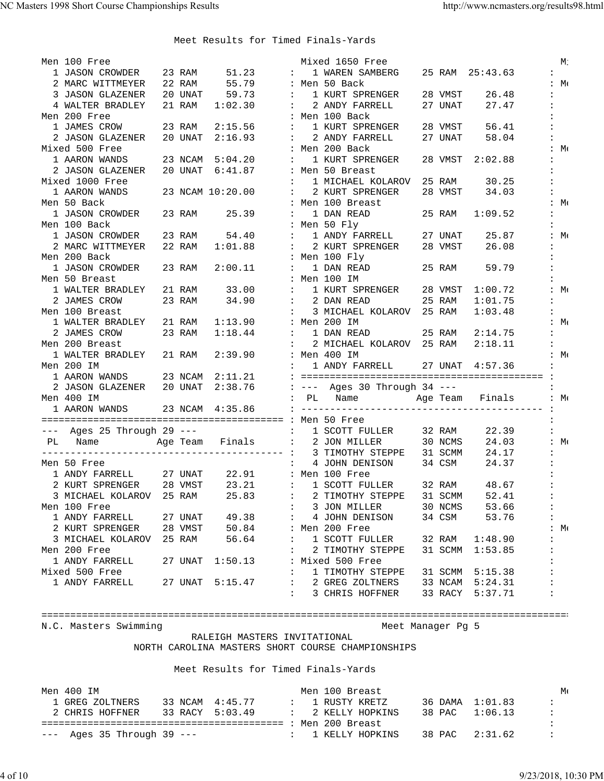| Men 100 Free                                                   |         |                                     |                                            | Mixed 1650 Free                                                       |         |                 | М.                  |
|----------------------------------------------------------------|---------|-------------------------------------|--------------------------------------------|-----------------------------------------------------------------------|---------|-----------------|---------------------|
| 1 JASON CROWDER                                                | 23 RAM  | 51.23                               | $\mathbf{r}$                               | 1 WAREN SAMBERG                                                       |         | 25 RAM 25:43.63 |                     |
| 2 MARC WITTMEYER                                               | 22 RAM  | 55.79                               |                                            | : Men 50 Back                                                         |         |                 | :M:                 |
| 3 JASON GLAZENER                                               |         | 20 UNAT 59.73                       | $\mathbb{R}^2$                             | 1 KURT SPRENGER                                                       | 28 VMST | 26.48           |                     |
| 4 WALTER BRADLEY                                               | 21 RAM  | 1:02.30                             |                                            | 2 ANDY FARRELL                                                        | 27 UNAT | 27.47           |                     |
| Men 200 Free                                                   |         |                                     |                                            | : Men 100 Back                                                        |         |                 |                     |
| 1 JAMES CROW                                                   |         | 23 RAM 2:15.56                      | $\mathbf{L}$                               | 1 KURT SPRENGER                                                       | 28 VMST | 56.41           |                     |
| 2 JASON GLAZENER                                               |         | 20 UNAT 2:16.93                     |                                            | : 2 ANDY FARRELL                                                      | 27 UNAT | 58.04           |                     |
| Mixed 500 Free                                                 |         |                                     |                                            | : Men 200 Back                                                        |         |                 | :M:                 |
| 1 AARON WANDS                                                  |         | 23 NCAM 5:04.20                     |                                            | 1 KURT SPRENGER                                                       | 28 VMST | 2:02.88         |                     |
| 2 JASON GLAZENER                                               |         | 20 UNAT 6:41.87                     |                                            | : Men 50 Breast                                                       |         |                 |                     |
| Mixed 1000 Free                                                |         |                                     | $\ddot{\phantom{a}}$                       | 1 MICHAEL KOLAROV                                                     | 25 RAM  | 30.25           |                     |
| 1 AARON WANDS                                                  |         | 23 NCAM 10:20.00                    | $\mathbf{1}$ , $\mathbf{1}$ , $\mathbf{1}$ | 2 KURT SPRENGER                                                       | 28 VMST | 34.03           |                     |
| Men 50 Back                                                    |         |                                     |                                            | : Men 100 Breast                                                      |         |                 | :M:                 |
| 1 JASON CROWDER                                                | 23 RAM  | 25.39                               | $\ddot{\cdot}$                             | 1 DAN READ                                                            | 25 RAM  | 1:09.52         |                     |
| Men 100 Back                                                   |         |                                     |                                            | : Men 50 Fly                                                          |         |                 |                     |
| 1 JASON CROWDER                                                | 23 RAM  | 54.40                               |                                            | : 1 ANDY FARRELL                                                      | 27 UNAT | 25.87           | :M:                 |
| 2 MARC WITTMEYER                                               | 22 RAM  | 1:01.88                             | $\sim$ 100 $\pm$                           | 2 KURT SPRENGER                                                       | 28 VMST | 26.08           |                     |
| Men 200 Back                                                   |         |                                     |                                            | : Men 100 Fly                                                         |         |                 |                     |
| 1 JASON CROWDER                                                | 23 RAM  | 2:00.11                             | $\mathbf{L}$                               | 1 DAN READ                                                            | 25 RAM  | 59.79           |                     |
|                                                                |         |                                     |                                            | : Men 100 IM                                                          |         |                 |                     |
| Men 50 Breast<br>1 WALTER BRADLEY                              |         | 33.00                               | $\mathbf{L}$                               | 1 KURT SPRENGER                                                       |         |                 |                     |
| 2 JAMES CROW                                                   | 21 RAM  | 34.90                               |                                            |                                                                       | 28 VMST | 1:00.72         | $:M \in \mathbb{R}$ |
|                                                                | 23 RAM  |                                     |                                            | : 2 DAN READ                                                          | 25 RAM  | 1:01.75         |                     |
| Men 100 Breast                                                 |         |                                     | $\mathbf{L}$                               | 3 MICHAEL KOLAROV                                                     | 25 RAM  | 1:03.48         |                     |
| 1 WALTER BRADLEY                                               | 21 RAM  | 1:13.90                             |                                            | : Men 200 IM                                                          |         |                 | $:M \in \mathbb{R}$ |
| 2 JAMES CROW                                                   | 23 RAM  | 1:18.44                             |                                            | : 1 DAN READ                                                          | 25 RAM  | 2:14.75         |                     |
| Men 200 Breast                                                 |         |                                     | $\mathbb{R}^n$                             | 2 MICHAEL KOLAROV                                                     | 25 RAM  | 2:18.11         |                     |
| 1 WALTER BRADLEY                                               | 21 RAM  | 2:39.90                             |                                            | : Men 400 IM                                                          |         |                 | : Mo                |
| Men 200 IM                                                     |         |                                     |                                            | 1 ANDY FARRELL 27 UNAT 4:57.36                                        |         |                 |                     |
| 1 AARON WANDS 23 NCAM 2:11.21                                  |         |                                     |                                            |                                                                       |         |                 |                     |
|                                                                |         |                                     |                                            |                                                                       |         |                 |                     |
| Men 400 IM                                                     |         |                                     |                                            |                                                                       |         |                 | : M(                |
| 1 AARON WANDS                                                  |         | 23 NCAM 4:35.86                     |                                            |                                                                       |         |                 |                     |
|                                                                |         |                                     |                                            |                                                                       |         |                 |                     |
| --- Ages 25 Through 29 ---                                     |         |                                     | $\mathbf{L}$                               | 1 SCOTT FULLER                                                        | 32 RAM  | 22.39           |                     |
| PL Name Age Team Finals : 2 JON MILLER                         |         |                                     |                                            |                                                                       | 30 NCMS | 24.03           | :M:                 |
|                                                                |         |                                     |                                            |                                                                       | 31 SCMM | 24.17           |                     |
| Men 50 Free                                                    |         |                                     | $\sim 1000$                                | 4 JOHN DENISON                                                        | 34 CSM  | 24.37           |                     |
|                                                                |         | 22.91 : Men 100 Free                |                                            |                                                                       |         |                 |                     |
| 1 ANDY FARRELL                                                 | 27 UNAT |                                     |                                            |                                                                       |         |                 |                     |
| 2 KURT SPRENGER 28 VMST                                        |         | 23.21                               |                                            |                                                                       |         | 48.67           |                     |
|                                                                |         | 25.83                               |                                            |                                                                       | 31 SCMM | 52.41           |                     |
| 3 MICHAEL KOLAROV 25 RAM<br>Men 100 Free                       |         |                                     |                                            | : 1 SCOTT FULLER 32 RAM<br>: 2 TIMOTHY STEPPE 31 SCMM<br>3 JON MILLER | 30 NCMS | 53.66           | $\ddot{\cdot}$      |
|                                                                |         | 27 UNAT 49.38                       | $\mathbb{R}^n$                             |                                                                       | 34 CSM  | 53.76           |                     |
| 1 ANDY FARRELL<br>2 KURT SPRENGER 28 VMST 50.84 : Men 200 Free |         |                                     |                                            | 4 JOHN DENISON                                                        |         |                 | $:M \in \mathbb{N}$ |
| 3 MICHAEL KOLAROV 25 RAM 56.64                                 |         |                                     |                                            | : 1 SCOTT FULLER                                                      |         | 1:48.90         |                     |
| Men 200 Free                                                   |         |                                     |                                            | 2 TIMOTHY STEPPE                                                      | 32 RAM  | 31 SCMM 1:53.85 |                     |
| 1 ANDY FARRELL                                                 |         | 27 UNAT 1:50.13                     |                                            | : Mixed 500 Free                                                      |         |                 |                     |
|                                                                |         |                                     | $\ddot{\phantom{a}}$                       |                                                                       |         |                 |                     |
| Mixed 500 Free                                                 |         |                                     |                                            | 1 TIMOTHY STEPPE                                                      |         | 31 SCMM 5:15.38 |                     |
| 1 ANDY FARRELL                                                 |         | 27 UNAT 5:15.47                     |                                            |                                                                       |         | 33 NCAM 5:24.31 |                     |
|                                                                |         |                                     |                                            | : 2 GREG ZOLTNERS<br>: 3 CHRIS HOFFNER                                |         | 33 RACY 5:37.71 |                     |
|                                                                |         |                                     |                                            |                                                                       |         |                 |                     |
|                                                                |         |                                     |                                            |                                                                       |         |                 |                     |
| N.C. Masters Swimming                                          |         |                                     |                                            | Meet Manager Pg 5                                                     |         |                 |                     |
|                                                                |         | RALEIGH MASTERS INVITATIONAL        |                                            |                                                                       |         |                 |                     |
|                                                                |         |                                     |                                            | NORTH CAROLINA MASTERS SHORT COURSE CHAMPIONSHIPS                     |         |                 |                     |
|                                                                |         |                                     |                                            |                                                                       |         |                 |                     |
|                                                                |         | Meet Results for Timed Finals-Yards |                                            |                                                                       |         |                 |                     |
|                                                                |         |                                     |                                            |                                                                       |         |                 |                     |
| Men 400 IM                                                     |         |                                     |                                            | Men 100 Breast                                                        |         |                 | $M_{\rm f}$         |
|                                                                |         |                                     |                                            | 1 GREG ZOLTNERS 33 NCAM 4:45.77 : 1 RUSTY KRETZ                       |         | 36 DAMA 1:01.83 |                     |
| 2 CHRIS HOFFNER                                                |         |                                     |                                            | 33 RACY 5:03.49 : 2 KELLY HOPKINS                                     | 38 PAC  | 1:06.13         |                     |
| $---$ Ages 35 Through 39 $---$                                 |         |                                     | $\mathcal{L}^{\text{max}}$                 | 1 KELLY HOPKINS                                                       | 38 PAC  | 2:31.62         |                     |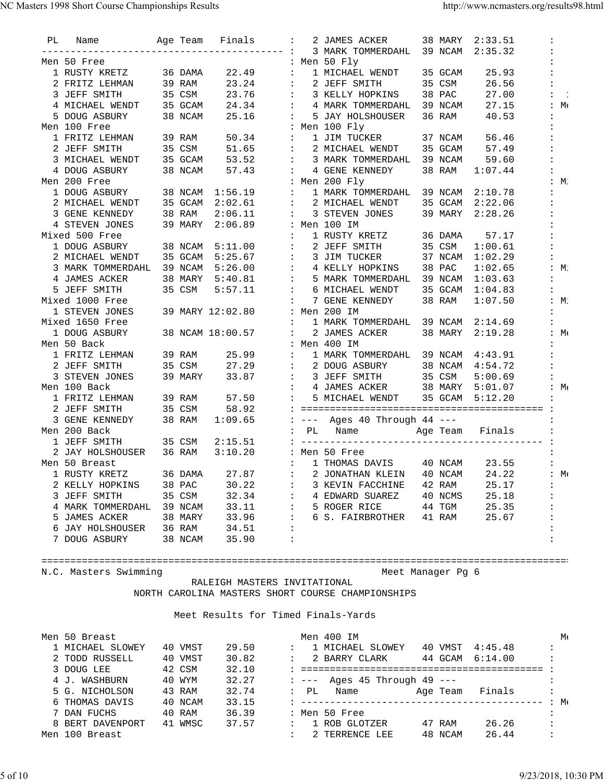| РL | Name              |        |         | Age Team Finals  |                           | $\ddot{\phantom{a}}$        | 2 JAMES ACKER                | 38 MARY | 2:33.51         | $\ddot{\phantom{a}}$ |
|----|-------------------|--------|---------|------------------|---------------------------|-----------------------------|------------------------------|---------|-----------------|----------------------|
|    |                   |        |         |                  | --------- :               |                             | 3 MARK TOMMERDAHL            | 39 NCAM | 2:35.32         |                      |
|    | Men 50 Free       |        |         |                  |                           |                             | : Men 50 Fly                 |         |                 |                      |
|    | 1 RUSTY KRETZ     |        | 36 DAMA | 22.49            | $\mathbb{Z}^{\mathbb{Z}}$ |                             | 1 MICHAEL WENDT              | 35 GCAM | 25.93           |                      |
|    | 2 FRITZ LEHMAN    |        | 39 RAM  | 23.24            | $\mathbf{L}$              |                             | 2 JEFF SMITH                 | 35 CSM  | 26.56           |                      |
|    | 3 JEFF SMITH      |        | 35 CSM  | 23.76            |                           | $\sim$                      | 3 KELLY HOPKINS              | 38 PAC  | 27.00           |                      |
|    | 4 MICHAEL WENDT   |        | 35 GCAM | 24.34            |                           | $\mathcal{L}$               | 4 MARK TOMMERDAHL            | 39 NCAM | 27.15           | :M:                  |
|    | 5 DOUG ASBURY     |        | 38 NCAM | 25.16            |                           | $\mathbf{L}$                | 5 JAY HOLSHOUSER             | 36 RAM  | 40.53           |                      |
|    | Men 100 Free      |        |         |                  |                           |                             | : Men 100 Fly                |         |                 |                      |
|    | 1 FRITZ LEHMAN    |        | 39 RAM  | 50.34            | $\ddot{\phantom{a}}$      |                             | 1 JIM TUCKER                 | 37 NCAM | 56.46           |                      |
|    | 2 JEFF SMITH      |        | 35 CSM  | 51.65            | $\ddot{\phantom{a}}$      |                             | 2 MICHAEL WENDT              | 35 GCAM | 57.49           |                      |
|    | 3 MICHAEL WENDT   |        | 35 GCAM | 53.52            |                           | $\ddot{\phantom{a}}$        | 3 MARK TOMMERDAHL            | 39 NCAM | 59.60           |                      |
|    | 4 DOUG ASBURY     |        | 38 NCAM | 57.43            | $\ddot{\phantom{a}}$      |                             | 4 GENE KENNEDY               | 38 RAM  | 1:07.44         |                      |
|    | Men 200 Free      |        |         |                  |                           |                             | : Men 200 Fly                |         |                 | :M:                  |
|    | 1 DOUG ASBURY     |        | 38 NCAM | 1:56.19          | $\mathbb{Z}^{\mathbb{Z}}$ |                             | 1 MARK TOMMERDAHL            | 39 NCAM | 2:10.78         |                      |
|    | 2 MICHAEL WENDT   |        | 35 GCAM | 2:02.61          |                           | $\sim 100$                  | 2 MICHAEL WENDT              | 35 GCAM | 2:22.06         |                      |
|    | 3 GENE KENNEDY    |        | 38 RAM  | 2:06.11          |                           | $\sim$ 100 $\sim$           | 3 STEVEN JONES               | 39 MARY | 2:28.26         |                      |
|    | 4 STEVEN JONES    |        | 39 MARY | 2:06.89          |                           |                             | : Men 100 IM                 |         |                 |                      |
|    | Mixed 500 Free    |        |         |                  | $\mathbf{L}$              |                             | 1 RUSTY KRETZ                | 36 DAMA | 57.17           |                      |
|    | 1 DOUG ASBURY     |        | 38 NCAM | 5:11.00          |                           | $\sim$                      | 2 JEFF SMITH                 | 35 CSM  | 1:00.61         |                      |
|    | 2 MICHAEL WENDT   |        | 35 GCAM | 5:25.67          |                           | $\mathbf{1}$ , $\mathbf{1}$ | 3 JIM TUCKER                 | 37 NCAM | 1:02.29         |                      |
|    | 3 MARK TOMMERDAHL |        | 39 NCAM | 5:26.00          |                           | $\sim$ $\sim$               | 4 KELLY HOPKINS              | 38 PAC  | 1:02.65         | $:M$ :               |
|    | 4 JAMES ACKER     |        | 38 MARY | 5:40.81          |                           | $\sim 1000$                 | 5 MARK TOMMERDAHL            | 39 NCAM | 1:03.63         |                      |
|    | 5 JEFF SMITH      |        | 35 CSM  | 5:57.11          |                           | $\sim$ 100 $\sim$           | 6 MICHAEL WENDT              | 35 GCAM | 1:04.83         | $\ddot{\phantom{a}}$ |
|    | Mixed 1000 Free   |        |         |                  | $\ddot{\phantom{a}}$      |                             | 7 GENE KENNEDY               | 38 RAM  | 1:07.50         | :M:                  |
|    | 1 STEVEN JONES    |        |         | 39 MARY 12:02.80 |                           |                             | : Men 200 IM                 |         |                 |                      |
|    | Mixed 1650 Free   |        |         |                  | $\ddot{\phantom{a}}$      |                             | 1 MARK TOMMERDAHL            | 39 NCAM | 2:14.69         |                      |
|    | 1 DOUG ASBURY     |        |         | 38 NCAM 18:00.57 | $\mathcal{L}$             |                             | 2 JAMES ACKER                | 38 MARY | 2:19.28         | :M:                  |
|    | Men 50 Back       |        |         |                  |                           |                             | : Men 400 IM                 |         |                 |                      |
|    | 1 FRITZ LEHMAN    |        | 39 RAM  | 25.99            |                           | $\mathbb{Z}^n$              | 1 MARK TOMMERDAHL            |         |                 | $\ddot{\phantom{a}}$ |
|    |                   |        |         |                  |                           |                             |                              | 39 NCAM | 4:43.91         | $\ddot{\phantom{a}}$ |
|    | 2 JEFF SMITH      |        | 35 CSM  | 27.29            |                           | $\sim$ $\sim$               | 2 DOUG ASBURY                | 38 NCAM | 4:54.72         |                      |
|    | 3 STEVEN JONES    |        | 39 MARY | 33.87            |                           | $\mathbf{L}$                | 3 JEFF SMITH                 | 35 CSM  | 5:00.69         |                      |
|    | Men 100 Back      |        |         |                  |                           |                             | 4 JAMES ACKER                | 38 MARY | 5:01.07         | :M:                  |
|    | 1 FRITZ LEHMAN    |        | 39 RAM  | 57.50            | $\ddot{\phantom{a}}$      |                             | 5 MICHAEL WENDT              | 35 GCAM | 5:12.20         |                      |
|    | 2 JEFF SMITH      |        | 35 CSM  | 58.92            |                           |                             |                              |         |                 |                      |
|    | 3 GENE KENNEDY    |        | 38 RAM  | 1:09.65          |                           |                             | : --- Ages 40 Through 44 --- |         |                 |                      |
|    | Men 200 Back      |        |         |                  |                           | $\ddot{\phantom{a}}$        | PL Name                      |         | Age Team Finals |                      |
|    | 1 JEFF SMITH      |        | 35 CSM  | 2:15.51          |                           |                             |                              |         |                 |                      |
|    | 2 JAY HOLSHOUSER  | 36 RAM |         | 3:10.20          |                           |                             | : Men 50 Free                |         |                 |                      |
|    | Men 50 Breast     |        |         |                  |                           | $\mathbf{L}$                | 1 THOMAS DAVIS               | 40 NCAM | 23.55           |                      |
|    | 1 RUSTY KRETZ     |        | 36 DAMA | 27.87            | $\sim 1000$ km s $^{-1}$  |                             | 2 JONATHAN KLEIN 40 NCAM     |         | 24.22           | : $M($               |
|    | 2 KELLY HOPKINS   |        | 38 PAC  | 30.22            |                           |                             | 3 KEVIN FACCHINE             | 42 RAM  | 25.17           | $\ddot{\phantom{a}}$ |
|    | 3 JEFF SMITH      |        | 35 CSM  | 32.34            | ÷                         |                             | 4 EDWARD SUAREZ              | 40 NCMS | 25.18           |                      |
|    | 4 MARK TOMMERDAHL |        | 39 NCAM | 33.11            | $\ddot{\cdot}$            |                             | 5 ROGER RICE                 | 44 TGM  | 25.35           |                      |
|    | 5 JAMES ACKER     |        | 38 MARY | 33.96            | ÷                         |                             | 6 S. FAIRBROTHER             | 41 RAM  | 25.67           |                      |
|    | 6 JAY HOLSHOUSER  |        | 36 RAM  | 34.51            | $\ddot{\phantom{a}}$      |                             |                              |         |                 |                      |
|    | 7 DOUG ASBURY     |        | 38 NCAM | 35.90            | $\ddot{\cdot}$            |                             |                              |         |                 | :                    |
|    |                   |        |         |                  |                           |                             |                              |         |                 |                      |

============================================================================================ N.C. Masters Swimming

 RALEIGH MASTERS INVITATIONAL NORTH CAROLINA MASTERS SHORT COURSE CHAMPIONSHIPS

| Men 50 Breast    |         |       |              |                    | Men 400 IM                       |          |                 |                      | $M_{\rm f}$ |
|------------------|---------|-------|--------------|--------------------|----------------------------------|----------|-----------------|----------------------|-------------|
| 1 MICHAEL SLOWEY | 40 VMST | 29.50 | $\mathbf{L}$ |                    | 1 MICHAEL SLOWEY                 | 40 VMST  | 4:45.48         | $\ddot{\phantom{a}}$ |             |
| 2 TODD RUSSELL   | 40 VMST | 30.82 |              |                    | 2 BARRY CLARK                    |          | 44 GCAM 6:14.00 |                      |             |
| 3 DOUG LEE       | 42 CSM  | 32.10 |              |                    |                                  |          |                 |                      |             |
| 4 J. WASHBURN    | 40 WYM  | 32.27 |              |                    | : $---$ Ages 45 Through 49 $---$ |          |                 |                      |             |
| 5 G. NICHOLSON   | 43 RAM  | 32.74 |              | $\mathcal{L}$ . PL | Name                             | Age Team | Finals          |                      |             |
| 6 THOMAS DAVIS   | 40 NCAM | 33.15 |              |                    |                                  |          |                 |                      |             |
| 7 DAN FUCHS      | 40 RAM  | 36.39 |              |                    | : Men 50 Free                    |          |                 |                      |             |
| 8 BERT DAVENPORT | 41 WMSC | 37.57 | $\mathbf{L}$ |                    | 1 ROB GLOTZER                    | 47 RAM   | 26.26           | $\cdot$ :            |             |
| Men 100 Breast   |         |       |              |                    | 2 TERRENCE LEE                   | 48 NCAM  | 26.44           | $\cdot$ :            |             |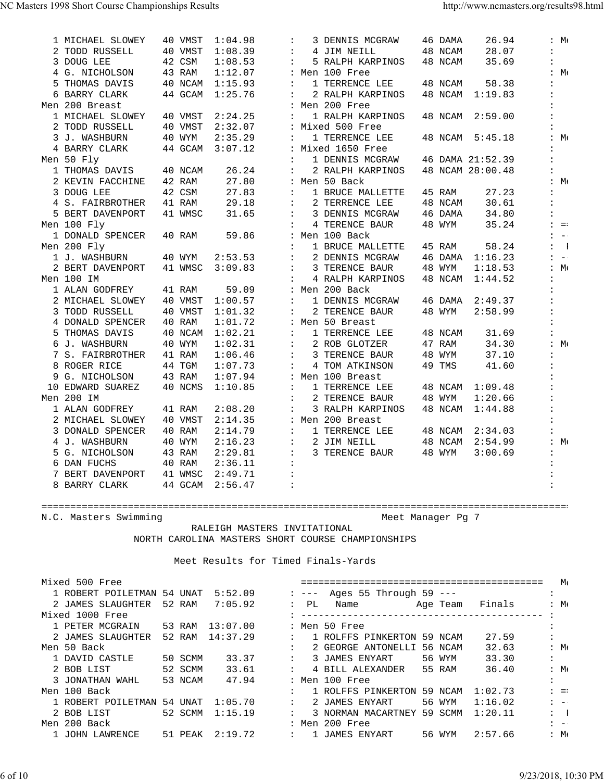| 1 MICHAEL SLOWEY | 40 VMST | 1:04.98 | $\ddot{\phantom{a}}$ | 3 DENNIS MCGRAW   | 46 DAMA | 26.94            |                      | $:M \cdot$                     |
|------------------|---------|---------|----------------------|-------------------|---------|------------------|----------------------|--------------------------------|
| 2 TODD RUSSELL   | 40 VMST | 1:08.39 | $\ddot{\phantom{a}}$ | 4 JIM NEILL       | 48 NCAM | 28.07            | $\ddot{\phantom{a}}$ |                                |
| 3 DOUG LEE       | 42 CSM  | 1:08.53 | $\ddot{\phantom{a}}$ | 5 RALPH KARPINOS  | 48 NCAM | 35.69            | $\ddot{\phantom{a}}$ |                                |
| 4 G. NICHOLSON   | 43 RAM  | 1:12.07 |                      | : Men 100 Free    |         |                  |                      | :M:                            |
| 5 THOMAS DAVIS   | 40 NCAM | 1:15.93 |                      | 1 TERRENCE LEE    | 48 NCAM | 58.38            |                      |                                |
| 6 BARRY CLARK    | 44 GCAM | 1:25.76 | $\ddot{\cdot}$       | 2 RALPH KARPINOS  | 48 NCAM | 1:19.83          | $\ddot{\cdot}$       |                                |
| Men 200 Breast   |         |         |                      | : Men 200 Free    |         |                  |                      |                                |
| 1 MICHAEL SLOWEY | 40 VMST | 2:24.25 |                      | 1 RALPH KARPINOS  | 48 NCAM | 2:59.00          | $\ddot{\phantom{a}}$ |                                |
| 2 TODD RUSSELL   | 40 VMST | 2:32.07 |                      | : Mixed 500 Free  |         |                  |                      |                                |
| 3 J. WASHBURN    | 40 WYM  | 2:35.29 | $\ddot{\phantom{a}}$ | 1 TERRENCE LEE    | 48 NCAM | 5:45.18          |                      | :M:                            |
| 4 BARRY CLARK    | 44 GCAM | 3:07.12 |                      | : Mixed 1650 Free |         |                  |                      |                                |
| Men 50 Fly       |         |         |                      | 1 DENNIS MCGRAW   |         | 46 DAMA 21:52.39 |                      |                                |
| 1 THOMAS DAVIS   | 40 NCAM | 26.24   | $\ddot{\phantom{a}}$ | 2 RALPH KARPINOS  |         | 48 NCAM 28:00.48 |                      |                                |
| 2 KEVIN FACCHINE | 42 RAM  | 27.80   |                      | : Men 50 Back     |         |                  |                      | : $M($                         |
| 3 DOUG LEE       | 42 CSM  | 27.83   | $\ddot{\phantom{a}}$ | 1 BRUCE MALLETTE  | 45 RAM  | 27.23            | $\ddot{\phantom{a}}$ |                                |
| 4 S. FAIRBROTHER | 41 RAM  | 29.18   | $\ddot{\phantom{a}}$ | 2 TERRENCE LEE    | 48 NCAM | 30.61            | $\ddot{\phantom{a}}$ |                                |
| 5 BERT DAVENPORT | 41 WMSC | 31.65   | $\ddot{\phantom{a}}$ | 3 DENNIS MCGRAW   | 46 DAMA | 34.80            | $\ddot{\phantom{a}}$ |                                |
| Men 100 Fly      |         |         |                      | 4 TERENCE BAUR    | 48 WYM  | 35.24            |                      | $\mathbf{1} = \mathbf{1}$      |
| 1 DONALD SPENCER | 40 RAM  | 59.86   |                      | : Men 100 Back    |         |                  |                      | $\mathbf{1} \quad -\mathbf{1}$ |
| Men 200 Fly      |         |         | $\ddot{\phantom{a}}$ | 1 BRUCE MALLETTE  | 45 RAM  | 58.24            |                      | $: \mathbb{L}$                 |
| 1 J. WASHBURN    | 40 WYM  | 2:53.53 | $\ddot{\phantom{a}}$ | 2 DENNIS MCGRAW   | 46 DAMA | 1:16.23          |                      | $1 - -1$                       |
| 2 BERT DAVENPORT | 41 WMSC | 3:09.83 | $\ddot{\phantom{a}}$ | 3 TERENCE BAUR    | 48 WYM  | 1:18.53          |                      | :M:                            |
| Men 100 IM       |         |         | $\ddot{\phantom{a}}$ | 4 RALPH KARPINOS  | 48 NCAM | 1:44.52          |                      |                                |
| 1 ALAN GODFREY   | 41 RAM  | 59.09   |                      | : Men 200 Back    |         |                  | $\ddot{\phantom{a}}$ |                                |
| 2 MICHAEL SLOWEY | 40 VMST | 1:00.57 | $\ddot{\phantom{a}}$ | 1 DENNIS MCGRAW   | 46 DAMA | 2:49.37          | $\ddot{\phantom{a}}$ |                                |
| 3 TODD RUSSELL   | 40 VMST | 1:01.32 | $\ddot{\phantom{a}}$ | 2 TERENCE BAUR    | 48 WYM  | 2:58.99          | $\ddot{\phantom{a}}$ |                                |
| 4 DONALD SPENCER | 40 RAM  | 1:01.72 |                      | : Men 50 Breast   |         |                  |                      |                                |
| 5 THOMAS DAVIS   | 40 NCAM | 1:02.21 | $\ddot{\phantom{a}}$ | 1 TERRENCE LEE    | 48 NCAM | 31.69            |                      |                                |
| 6 J. WASHBURN    | 40 WYM  | 1:02.31 | $\ddot{\phantom{a}}$ | 2 ROB GLOTZER     | 47 RAM  | 34.30            |                      | : $M($                         |
| 7 S. FAIRBROTHER | 41 RAM  | 1:06.46 | $\ddot{\phantom{a}}$ | 3 TERENCE BAUR    | 48 WYM  | 37.10            | $\ddot{\cdot}$       |                                |
| 8 ROGER RICE     | 44 TGM  | 1:07.73 | $\ddot{\phantom{a}}$ | 4 TOM ATKINSON    | 49 TMS  | 41.60            | $\ddot{\cdot}$       |                                |
| 9 G. NICHOLSON   | 43 RAM  | 1:07.94 |                      | : Men 100 Breast  |         |                  | $\ddot{\phantom{a}}$ |                                |
| 10 EDWARD SUAREZ | 40 NCMS | 1:10.85 | $\ddot{\phantom{a}}$ | 1 TERRENCE LEE    | 48 NCAM | 1:09.48          | $\ddot{\phantom{a}}$ |                                |
| Men 200 IM       |         |         | $\ddot{\phantom{a}}$ | 2 TERENCE BAUR    | 48 WYM  | 1:20.66          | $\ddot{\cdot}$       |                                |
| 1 ALAN GODFREY   | 41 RAM  | 2:08.20 | $\ddot{\phantom{a}}$ | 3 RALPH KARPINOS  | 48 NCAM | 1:44.88          | $\ddot{\phantom{a}}$ |                                |
| 2 MICHAEL SLOWEY | 40 VMST | 2:14.35 |                      | : Men 200 Breast  |         |                  |                      |                                |
| 3 DONALD SPENCER | 40 RAM  | 2:14.79 | $\ddot{\phantom{a}}$ | 1 TERRENCE LEE    | 48 NCAM | 2:34.03          |                      |                                |
| 4 J. WASHBURN    | 40 WYM  | 2:16.23 | $\ddot{\phantom{a}}$ | 2 JIM NEILL       | 48 NCAM | 2:54.99          |                      | :M:                            |
| 5 G. NICHOLSON   | 43 RAM  | 2:29.81 | $\ddot{\cdot}$       | 3 TERENCE BAUR    | 48 WYM  | 3:00.69          |                      |                                |
| 6 DAN FUCHS      | 40 RAM  | 2:36.11 | $\ddot{\phantom{a}}$ |                   |         |                  |                      |                                |
| 7 BERT DAVENPORT | 41 WMSC | 2:49.71 | $\ddot{\phantom{a}}$ |                   |         |                  |                      |                                |
| 8 BARRY CLARK    | 44 GCAM | 2:56.47 | $\ddot{\cdot}$       |                   |         |                  | $\ddot{\cdot}$       |                                |

N.C. Masters Swimming and Meet Manager Pg 7

 RALEIGH MASTERS INVITATIONAL NORTH CAROLINA MASTERS SHORT COURSE CHAMPIONSHIPS

| Mixed 500 Free                     |         |                 |                |                               |                                         |                             | $M_{\rm f}$                 |
|------------------------------------|---------|-----------------|----------------|-------------------------------|-----------------------------------------|-----------------------------|-----------------------------|
| 1 ROBERT POILETMAN 54 UNAT 5:52.09 |         |                 |                |                               | $: --- A$ qes 55 Through 59 ---         |                             |                             |
| 2 JAMES SLAUGHTER 52 RAM           |         | 7:05.92         |                |                               |                                         | $:M \rightarrow \mathbb{R}$ |                             |
| Mixed 1000 Free                    |         |                 |                |                               |                                         |                             |                             |
| 1 PETER MCGRAIN                    |         | 53 RAM 13:07.00 |                |                               | : Men 50 Free                           |                             |                             |
| 2 JAMES SLAUGHTER 52 RAM 14:37.29  |         |                 |                |                               | 27.59<br>: 1 ROLFFS PINKERTON 59 NCAM   |                             |                             |
| Men 50 Back                        |         |                 | $\ddot{\cdot}$ |                               | 32.63<br>2 GEORGE ANTONELLI 56 NCAM     | $:M \in \mathbb{N}$         |                             |
| 1 DAVID CASTLE                     | 50 SCMM | 33.37           |                | $\mathbf{1}$ and $\mathbf{1}$ | 33.30<br>3 JAMES ENYART<br>56 WYM       |                             |                             |
| 2 BOB LIST                         | 52 SCMM | 33.61           | $\mathbf{L}$   |                               | 55 RAM<br>36.40<br>4 BILL ALEXANDER     | :M:                         |                             |
| 3 JONATHAN WAHL                    | 53 NCAM | 47.94           |                |                               | : Men 100 Free                          |                             |                             |
| Men 100 Back                       |         |                 |                |                               | : 1 ROLFFS PINKERTON 59 NCAM<br>1:02.73 |                             | $\mathbf{1}$ = $\mathbf{1}$ |
| 1 ROBERT POILETMAN 54 UNAT         |         | 1:05.70         | $\mathbf{L}$   |                               | 1:16.02<br>2 JAMES ENYART<br>56 WYM     | $1 - -1$                    |                             |
| 2 BOB LIST                         | 52 SCMM | 1:15.19         | $\mathbf{L}$   |                               | 3 NORMAN MACARTNEY 59 SCMM<br>1:20.11   | $\mathbf{1}$                |                             |
| Men 200 Back                       |         |                 |                |                               | : Men 200 Free                          | $1 - -$                     |                             |
| 1 JOHN LAWRENCE                    | 51 PEAK |                 |                |                               | 56 WYM<br>2:57.66                       | $:M_{\mathfrak{t}}$         |                             |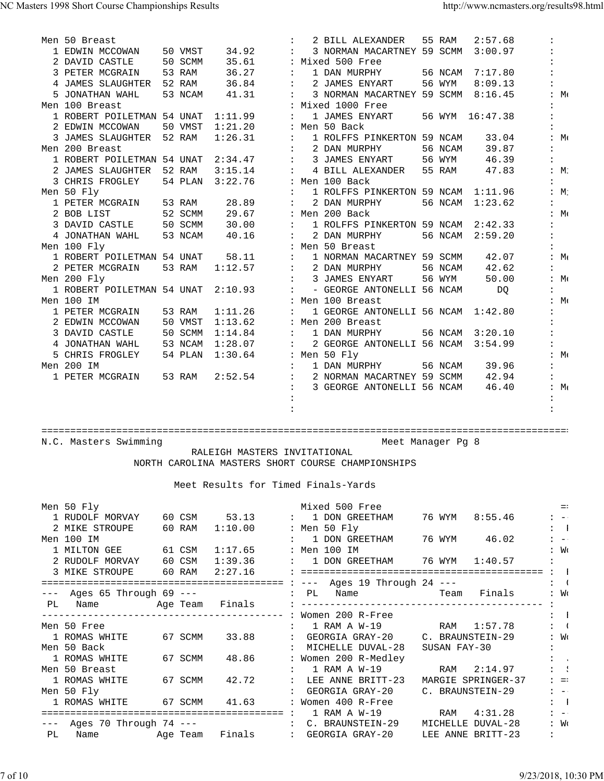| Men 50 Breast                      |         |         |                      |                      | 2 BILL ALEXANDER                   | 55 RAM  | 2:57.68         |            |
|------------------------------------|---------|---------|----------------------|----------------------|------------------------------------|---------|-----------------|------------|
| 1 EDWIN MCCOWAN                    | 50 VMST | 34.92   | $\mathbf{L}$         |                      | 3 NORMAN MACARTNEY 59 SCMM         |         | 3:00.97         |            |
| 2 DAVID CASTLE                     | 50 SCMM | 35.61   |                      |                      | : Mixed 500 Free                   |         |                 |            |
| 3 PETER MCGRAIN                    | 53 RAM  | 36.27   | $\mathbf{L}$         |                      | 1 DAN MURPHY                       | 56 NCAM | 7:17.80         |            |
| 4 JAMES SLAUGHTER 52 RAM           |         | 36.84   |                      | $\mathbf{L}$         | 2 JAMES ENYART                     | 56 WYM  | 8:09.13         |            |
| 5 JONATHAN WAHL                    | 53 NCAM | 41.31   |                      |                      | 3 NORMAN MACARTNEY 59 SCMM         |         | 8:16.45         | :M:        |
| Men 100 Breast                     |         |         |                      | $\ddot{\phantom{a}}$ | Mixed 1000 Free                    |         |                 |            |
| 1 ROBERT POILETMAN 54 UNAT         |         | 1:11.99 | $\ddot{\phantom{a}}$ |                      | 1 JAMES ENYART                     |         | 56 WYM 16:47.38 |            |
| 2 EDWIN MCCOWAN                    | 50 VMST | 1:21.20 |                      |                      | : Men 50 Back                      |         |                 |            |
| 3 JAMES SLAUGHTER 52 RAM           |         | 1:26.31 | $\ddot{\phantom{a}}$ |                      | 1 ROLFFS PINKERTON 59 NCAM         |         | 33.04           | :M:        |
| Men 200 Breast                     |         |         |                      |                      | 2 DAN MURPHY                       | 56 NCAM | 39.87           |            |
| 1 ROBERT POILETMAN 54 UNAT         |         | 2:34.47 | $\ddot{\phantom{a}}$ |                      | 3 JAMES ENYART                     | 56 WYM  | 46.39           |            |
| 2 JAMES SLAUGHTER                  | 52 RAM  | 3:15.14 | $\ddot{\phantom{a}}$ |                      | 4 BILL ALEXANDER                   | 55 RAM  | 47.83           | :M:        |
| 3 CHRIS FROGLEY                    | 54 PLAN | 3:22.76 |                      | $\mathbf{L}$         | Men 100 Back                       |         |                 |            |
| Men 50 Fly                         |         |         |                      |                      | 1 ROLFFS PINKERTON 59 NCAM         |         | 1:11.96         | :M:        |
| 1 PETER MCGRAIN                    | 53 RAM  | 28.89   | $\ddot{\phantom{a}}$ |                      | 2 DAN MURPHY                       | 56 NCAM | 1:23.62         |            |
| 2 BOB LIST                         | 52 SCMM | 29.67   |                      |                      | : Men 200 Back                     |         |                 | $:M \cdot$ |
| 3 DAVID CASTLE                     | 50 SCMM | 30.00   | $\ddot{\phantom{a}}$ |                      | 1 ROLFFS PINKERTON 59 NCAM         |         | 2:42.33         |            |
| 4 JONATHAN WAHL                    | 53 NCAM | 40.16   |                      |                      | 2 DAN MURPHY                       | 56 NCAM | 2:59.20         |            |
| Men 100 Fly                        |         |         |                      |                      | : Men 50 Breast                    |         |                 |            |
| 1 ROBERT POILETMAN 54 UNAT         |         | 58.11   | $\mathbf{r}$         |                      | 1 NORMAN MACARTNEY 59 SCMM         |         | 42.07           | :M:        |
| 2 PETER MCGRAIN                    | 53 RAM  | 1:12.57 | $\mathbf{L}$         |                      | 2 DAN MURPHY                       | 56 NCAM | 42.62           |            |
| Men 200 Fly                        |         |         |                      |                      | 3 JAMES ENYART                     | 56 WYM  | 50.00           | :M:        |
| 1 ROBERT POILETMAN 54 UNAT 2:10.93 |         |         |                      |                      | - GEORGE ANTONELLI 56 NCAM         |         | DO              |            |
| Men 100 IM                         |         |         |                      |                      | Men 100 Breast                     |         |                 | :M:        |
| 1 PETER MCGRAIN                    | 53 RAM  | 1:11.26 |                      |                      | 1 GEORGE ANTONELLI 56 NCAM 1:42.80 |         |                 |            |
| 2 EDWIN MCCOWAN                    | 50 VMST | 1:13.62 |                      |                      | : Men 200 Breast                   |         |                 |            |
| 3 DAVID CASTLE                     | 50 SCMM | 1:14.84 | $\ddot{\phantom{a}}$ |                      | 1 DAN MURPHY                       | 56 NCAM | 3:20.10         |            |
| 4 JONATHAN WAHL                    | 53 NCAM | 1:28.07 | $\ddot{\phantom{a}}$ |                      | 2 GEORGE ANTONELLI 56 NCAM         |         | 3:54.99         |            |
| 5 CHRIS FROGLEY                    | 54 PLAN | 1:30.64 |                      |                      | : Men 50 Fly                       |         |                 | :M:        |
| Men 200 IM                         |         |         |                      |                      | 1 DAN MURPHY                       | 56 NCAM | 39.96           |            |
| 1 PETER MCGRAIN                    | 53 RAM  | 2:52.54 | $\ddot{\phantom{a}}$ |                      | 2 NORMAN MACARTNEY 59 SCMM         |         | 42.94           |            |
|                                    |         |         |                      |                      | 3 GEORGE ANTONELLI 56 NCAM         |         | 46.40           | :M:        |
|                                    |         |         |                      |                      |                                    |         |                 |            |
|                                    |         |         |                      |                      |                                    |         |                 |            |

N.C. Masters Swimming

 RALEIGH MASTERS INVITATIONAL NORTH CAROLINA MASTERS SHORT COURSE CHAMPIONSHIPS

|    | Men 50 Fly                     |         |               |              | Mixed 500 Free                                               |              |                    |                      | $=$                       |
|----|--------------------------------|---------|---------------|--------------|--------------------------------------------------------------|--------------|--------------------|----------------------|---------------------------|
|    |                                |         |               |              | 1 RUDOLF MORVAY 60 CSM 53.13 : 1 DON GREETHAM 76 WYM 8:55.46 |              |                    |                      | $1 - -$                   |
|    | 2 MIKE STROUPE 60 RAM 1:10.00  |         |               |              | : Men 50 Fly                                                 |              |                    |                      | $\mathbf{1}$              |
|    | Men 100 IM                     |         |               |              | : 1 DON GREETHAM                                             |              | 76 WYM 46.02       |                      | $1 - -$                   |
|    | 1 MILTON GEE 61 CSM            |         | 1:17.65       |              | : Men 100 IM                                                 |              |                    |                      | : W <sub>C</sub>          |
|    | 2 RUDOLF MORVAY 60 CSM         |         | 1:39.36       |              | : 1 DON GREETHAM 76 WYM 1:40.57                              |              |                    | $\ddot{\phantom{a}}$ |                           |
|    | 3 MIKE STROUPE                 | 60 RAM  | 2:27.16       |              |                                                              |              |                    |                      |                           |
|    |                                |         |               |              |                                                              |              |                    |                      | $\mathbf{\ddot{.}}$       |
|    | $---$ Ages 65 Through 69 $---$ |         |               |              |                                                              |              |                    |                      | : Wo                      |
| PL |                                |         |               |              |                                                              |              |                    |                      |                           |
|    |                                |         |               |              |                                                              |              |                    |                      | $\mathbf{1}$              |
|    | Men 50 Free                    |         |               |              | : 1 RAM A W-19 RAM 1:57.78                                   |              |                    |                      | $\mathbf{L}$ :            |
|    | 1 ROMAS WHITE                  |         | 67 SCMM 33.88 |              | : GEORGIA GRAY-20 C. BRAUNSTEIN-29                           |              |                    |                      | : W <sub>0</sub>          |
|    | Men 50 Back                    |         |               |              | MICHELLE DUVAL-28                                            | SUSAN FAY-30 |                    |                      |                           |
|    | 1 ROMAS WHITE                  | 67 SCMM | 48.86         |              | : Women 200 R-Medley                                         |              |                    |                      | $\mathbf{1}$              |
|    | Men 50 Breast                  |         |               |              | $: 1$ RAM A $W-19$                                           |              | RAM 2:14.97        |                      | $\mathbf{z} = \mathbf{y}$ |
|    | 1 ROMAS WHITE                  |         | 67 SCMM 42.72 | $\mathbf{L}$ | LEE ANNE BRITT-23                                            |              | MARGIE SPRINGER-37 |                      | $\ddot{z}$ = :            |
|    | Men 50 Fly                     |         |               |              | GEORGIA GRAY-20                                              |              | C. BRAUNSTEIN-29   |                      | $: - -$                   |
|    | 1 ROMAS WHITE 67 SCMM 41.63    |         |               |              | : Women 400 R-Free                                           |              |                    |                      | $\mathbf{1}$              |
|    |                                |         |               |              |                                                              |              | RAM 4:31.28        |                      | $1 - -$                   |
|    | $---$ Ages 70 Through 74 $---$ |         |               |              | : C. BRAUNSTEIN-29 MICHELLE DUVAL-28                         |              |                    |                      | : W <sub>0</sub>          |
| PL |                                |         |               |              |                                                              |              | LEE ANNE BRITT-23  | $\ddot{\phantom{a}}$ |                           |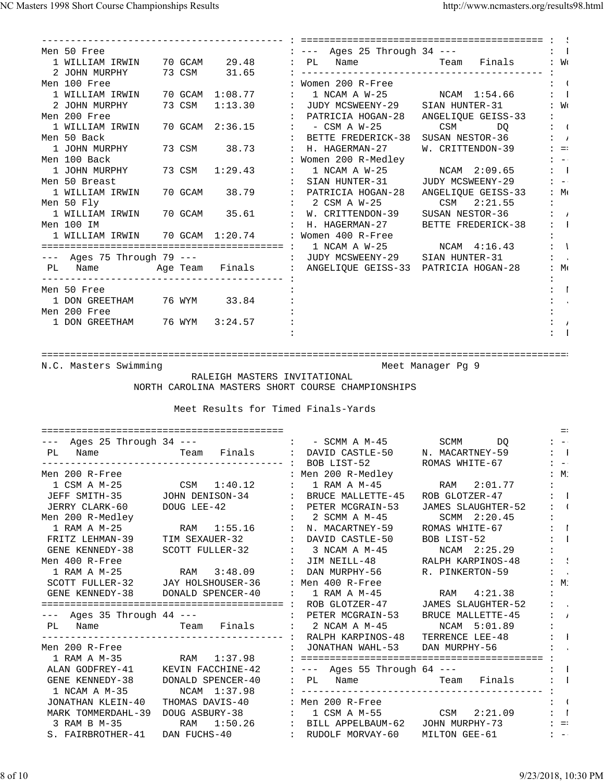| Men 50 Free                                    |  |  | : --- Ages 25 Through 34 ---                       |                                                                      | $\mathbf{z} = 1$          |
|------------------------------------------------|--|--|----------------------------------------------------|----------------------------------------------------------------------|---------------------------|
|                                                |  |  |                                                    | 1 WILLIAM IRWIN 70 GCAM 29.48 : PL Name Neam Team Finals             | $\colon$ $W_0$            |
| 2 JOHN MURPHY 73 CSM 31.65                     |  |  |                                                    |                                                                      |                           |
| Men 100 Free                                   |  |  | : Women 200 R-Free                                 |                                                                      | $\mathbf{L}$ :            |
|                                                |  |  |                                                    | 1 WILLIAM IRWIN 70 GCAM 1:08.77 : 1 NCAM A W-25 NCAM 1:54.66         | $\mathbf{1}$ $\mathbf{1}$ |
|                                                |  |  |                                                    | 2 JOHN MURPHY 73 CSM 1:13.30 : JUDY MCSWEENY-29 SIAN HUNTER-31       | $\colon$ $W_0$            |
| Men 200 Free                                   |  |  |                                                    | : PATRICIA HOGAN-28 ANGELIQUE GEISS-33                               |                           |
| 1 WILLIAM IRWIN 70 GCAM 2:36.15 : - CSM A W-25 |  |  |                                                    | CSM DQ                                                               | $\mathbf{I}$ (            |
| Men 50 Back                                    |  |  |                                                    | : BETTE FREDERICK-38 SUSAN NESTOR-36                                 | $\mathbf{i}$ $\mathbf{j}$ |
| 1 JOHN MURPHY                                  |  |  | 73 CSM 38.73 : H. HAGERMAN-27                      | W. CRITTENDON-39                                                     | $\ddot{z}$ = $\ddot{z}$   |
| Men 100 Back                                   |  |  | : Women 200 R-Medley                               |                                                                      | $\sim$ $ \sim$            |
| 1 JOHN MURPHY                                  |  |  |                                                    | 73 CSM 1:29.43 : 1 NCAM A W-25 NCAM 2:09.65                          | $\mathbf{1}$ $\mathbf{1}$ |
| Men 50 Breast                                  |  |  |                                                    | : SIAN HUNTER-31 JUDY MCSWEENY-29                                    | $1 - -1$                  |
|                                                |  |  |                                                    | 1 WILLIAM IRWIN 70 GCAM 38.79 : PATRICIA HOGAN-28 ANGELIQUE GEISS-33 | :M:                       |
| Men 50 Fly                                     |  |  | : 2 CSM A W-25 CSM 2:21.55                         |                                                                      |                           |
|                                                |  |  |                                                    | 1 WILLIAM IRWIN 70 GCAM 35.61 : W. CRITTENDON-39 SUSAN NESTOR-36     | $\mathbf{i}$ $\mathbf{j}$ |
| Men 100 IM                                     |  |  |                                                    | : H. HAGERMAN-27 BETTE FREDERICK-38                                  | $\mathbf{1}$ $\mathbf{1}$ |
|                                                |  |  | 1 WILLIAM IRWIN 70 GCAM 1:20.74 : Women 400 R-Free |                                                                      |                           |
|                                                |  |  |                                                    |                                                                      | $\mathbf{I}$ :            |
| $---$ Ages 75 Through 79 $---$                 |  |  | : JUDY MCSWEENY-29 SIAN HUNTER-31                  |                                                                      | $\mathbf{L} = \mathbf{L}$ |
|                                                |  |  |                                                    | PL Name . Age Team Finals : ANGELIQUE GEISS-33 PATRICIA HOGAN-28     | $:M_{\epsilon}$           |
|                                                |  |  |                                                    |                                                                      |                           |
| Men 50 Free                                    |  |  |                                                    |                                                                      | $\mathbf{r}$              |
| 1 DON GREETHAM 76 WYM 33.84                    |  |  |                                                    |                                                                      | $\mathbf{z} = \mathbf{z}$ |
| Men 200 Free                                   |  |  |                                                    |                                                                      |                           |
| 1 DON GREETHAM 76 WYM 3:24.57                  |  |  |                                                    |                                                                      | ÷                         |
|                                                |  |  |                                                    |                                                                      |                           |
|                                                |  |  |                                                    |                                                                      |                           |

N.C. Masters Swimming and Meet Manager Pg 9

RALEIGH MASTERS INVITATIONAL

NORTH CAROLINA MASTERS SHORT COURSE CHAMPIONSHIPS

| Ages $25$ Through $34$ ---<br>$---$<br>PL<br>Name | Team Finals :     |                                   | - SCMM A M-45<br>$\mathbf{1}$ and $\mathbf{1}$<br>DAVID CASTLE-50 | SCMM<br>DO<br>N. MACARTNEY-59 | $: - -$<br>$\mathbf{1}$  |
|---------------------------------------------------|-------------------|-----------------------------------|-------------------------------------------------------------------|-------------------------------|--------------------------|
|                                                   |                   |                                   | BOB LIST-52                                                       | ROMAS WHITE-67                | $\overline{\phantom{a}}$ |
| Men 200 R-Free                                    |                   |                                   | : Men 200 R-Medley                                                |                               | :M:                      |
| 1 CSM A M-25                                      | 1:40.12<br>CSM    |                                   | 1 RAM A M-45                                                      | 2:01.77<br>RAM                |                          |
| JEFF SMITH-35                                     | JOHN DENISON-34   | <b>Contractor</b>                 | BRUCE MALLETTE-45                                                 | ROB GLOTZER-47                | $\blacksquare$           |
| JERRY CLARK-60                                    | DOUG LEE-42       |                                   | PETER MCGRAIN-53                                                  | <b>JAMES SLAUGHTER-52</b>     | $\overline{\phantom{a}}$ |
| Men 200 R-Medley                                  |                   |                                   | 2 SCMM A M-45                                                     | SCMM 2:20.45                  |                          |
| 1 RAM A M-25                                      | RAM 1:55.16       |                                   | N. MACARTNEY-59                                                   | ROMAS WHITE-67                | $\blacksquare$           |
| FRITZ LEHMAN-39                                   | TIM SEXAUER-32    | $\mathbf{r}$                      | DAVID CASTLE-50                                                   | BOB LIST-52                   | $\blacksquare$           |
| GENE KENNEDY-38                                   | SCOTT FULLER-32   |                                   | 3 NCAM A M-45                                                     | NCAM 2:25.29                  |                          |
| Men 400 R-Free                                    |                   |                                   | JIM NEILL-48                                                      | RALPH KARPINOS-48             | $\sim$                   |
| 1 RAM A M-25                                      | RAM 3:48.09       | $\ddot{\phantom{a}}$              | DAN MURPHY-56                                                     | R. PINKERTON-59               | $\mathbf{L}$             |
| SCOTT FULLER-32                                   | JAY HOLSHOUSER-36 |                                   | : Men 400 R-Free                                                  |                               | $M$ :                    |
| GENE KENNEDY-38                                   | DONALD SPENCER-40 | $\ddot{\cdot}$                    | 1 RAM A M-45                                                      | 4:21.38<br>RAM                |                          |
|                                                   |                   |                                   | ROB GLOTZER-47                                                    | JAMES SLAUGHTER-52            | $\sim$                   |
| --- Ages 35 Through 44 ---                        |                   | $\cdot$ :                         | PETER MCGRAIN-53                                                  | <b>BRUCE MALLETTE-45</b>      | $\overline{1}$           |
| Name<br>PL                                        |                   | Team Finals :                     | 2 NCAM A M-45                                                     | NCAM 5:01.89                  |                          |
|                                                   |                   | ------ :                          | RALPH KARPINOS-48                                                 | TERRENCE LEE-48               | $\Box$                   |
| Men 200 R-Free                                    |                   |                                   | JONATHAN WAHL-53                                                  | DAN MURPHY-56                 | $\sim$ 10                |
| 1 RAM A M-35                                      | 1:37.98<br>RAM    |                                   |                                                                   |                               |                          |
| ALAN GODFREY-41                                   | KEVIN FACCHINE-42 |                                   | $---$ Ages 55 Through 64 $---$                                    |                               | - 1                      |
| GENE KENNEDY-38                                   | DONALD SPENCER-40 |                                   | PL<br>Name                                                        | Finals<br><b>Team</b> Team    | $\blacksquare$           |
| 1 NCAM A M-35                                     | NCAM 1:37.98      |                                   |                                                                   |                               |                          |
| JONATHAN KLEIN-40                                 | THOMAS DAVIS-40   |                                   | Men 200 R-Free                                                    |                               | $\left($                 |
| MARK TOMMERDAHL-39                                | DOUG ASBURY-38    | $\ddot{\phantom{a}}$              | 1 CSM A M-55 CSM                                                  | 2:21.09                       | $\blacksquare$           |
| 3 RAM B M-35                                      | 1:50.26<br>RAM    | $\sim 10^{11}$ and $\sim 10^{11}$ | BILL APPELBAUM-62                                                 | JOHN MURPHY-73                | $=$ :                    |
| S. FAIRBROTHER-41                                 | DAN FUCHS-40      |                                   | RUDOLF MORVAY-60                                                  | MILTON GEE-61                 | $: --$                   |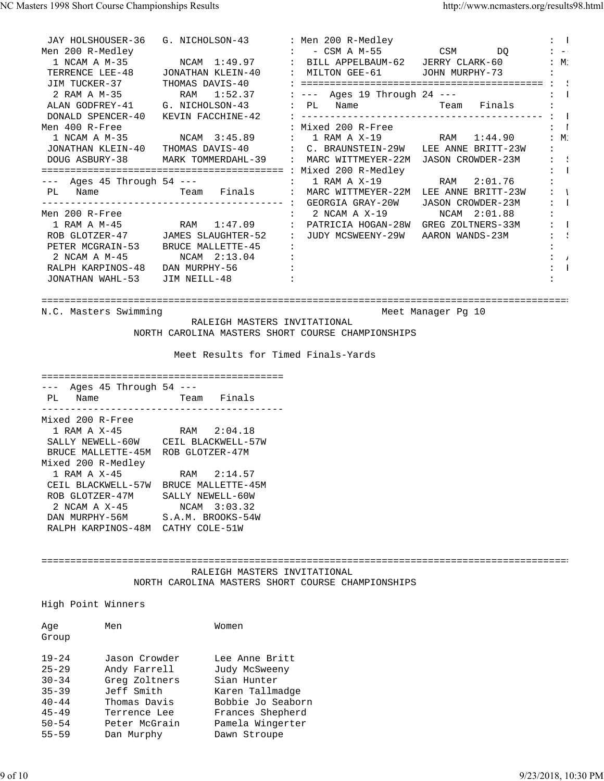JAY HOLSHOUSER-36 G. NICHOLSON-43 : Men 200 R-Medley : 1<br>Men 200 R-Medley : Particle : Particle South A M-55 (Particle South A Microsoft South A Microsoft South A Micr Men 200 R-Medley : - CSM A M-55 CSM DQ : -- 1 NCAM A M-35 NCAM 1:49.97 : BILL APPELBAUM-62 JERRY CLARK-60 : Mi TERRENCE LEE-48 JONATHAN KLEIN-40 : MILTON GEE-61 JOHN MURPHY-73 : JIM TUCKER-37 THOMAS DAVIS-40 : ========================================== : S 2 RAM A M-35 RAM 1:52.37 : --- Ages 19 Through 24 --- : F ALAN GODFREY-41 G. NICHOLSON-43 : PL Name Team Finals : DONALD SPENCER-40 KEVIN FACCHINE-42 : ------------------------------------------ : B Men 400 R-Free : Nixed 200 R-Free : Mixed 200 R-Free : Museum : Mixed 200 R-Free : March 200 R-Free : March 200 R 1 NCAM A M-35 NCAM 3:45.89 : 1 RAM A X-19 RAM 1:44.90 : M. JONATHAN KLEIN-40 THOMAS DAVIS-40 : C. BRAUNSTEIN-29W LEE ANNE BRITT-23W : DOUG ASBURY-38 MARK TOMMERDAHL-39 : MARC WITTMEYER-22M JASON CROWDER-23M : : ========================================== : Mixed 200 R-Medley : F --- Ages 45 Through 54 --- : 1 RAM A X-19 RAM 2:01.76 : PL Name Team Finals : MARC WITTMEYER-22M LEE ANNE BRITT-23W : W ------------------------------------------ : GEORGIA GRAY-20W JASON CROWDER-23M : D Men 200 R-Free : 2 NCAM A X-19 NCAM 2:01.88 : 1 RAM A M-45 RAM 1:47.09 : PATRICIA HOGAN-28W GREG ZOLTNERS-33M : 1 ROB GLOTZER-47 JAMES SLAUGHTER-52 : JUDY MCSWEENY-29W AARON WANDS-23M : : PETER MCGRAIN-53 BRUCE MALLETTE-45 : 2 NCAM A M-45 NCAM 2:13.04 :  $\frac{1}{2}$  RALPH KARPINOS-48 DAN MURPHY-56 : : K JONATHAN WAHL-53 JIM NEILL-48 ============================================================================================ N.C. Masters Swimming Meet Manager Pg 10 RALEIGH MASTERS INVITATIONAL NORTH CAROLINA MASTERS SHORT COURSE CHAMPIONSHIPS Meet Results for Timed Finals-Yards ========================================== --- Ages 45 Through 54 --- PL Name **Team** Finals ------------------------------------------ Mixed 200 R-Free 1 RAM A X-45 RAM 2:04.18 SALLY NEWELL-60W CEIL BLACKWELL-57W BRUCE MALLETTE-45M ROB GLOTZER-47M Mixed 200 R-Medley 1 RAM A X-45 RAM 2:14.57 CEIL BLACKWELL-57W BRUCE MALLETTE-45M ROB GLOTZER-47M SALLY NEWELL-60W 2 NCAM A X-45 NCAM 3:03.32 DAN MURPHY-56M S.A.M. BROOKS-54W RALPH KARPINOS-48M CATHY COLE-51W ============================================================================================ RALEIGH MASTERS INVITATIONAL NORTH CAROLINA MASTERS SHORT COURSE CHAMPIONSHIPS High Point Winners

| Age<br>Group | Men           | Women             |
|--------------|---------------|-------------------|
| $19 - 24$    | Jason Crowder | Lee Anne Britt    |
| $25 - 29$    | Andy Farrell  | Judy McSweeny     |
| $30 - 34$    | Greg Zoltners | Sian Hunter       |
| $35 - 39$    | Jeff Smith    | Karen Tallmadge   |
| $40 - 44$    | Thomas Davis  | Bobbie Jo Seaborn |
| $45 - 49$    | Terrence Lee  | Frances Shepherd  |
| $50 - 54$    | Peter McGrain | Pamela Wingerter  |
| $55 - 59$    | Dan Murphy    | Dawn Stroupe      |
|              |               |                   |